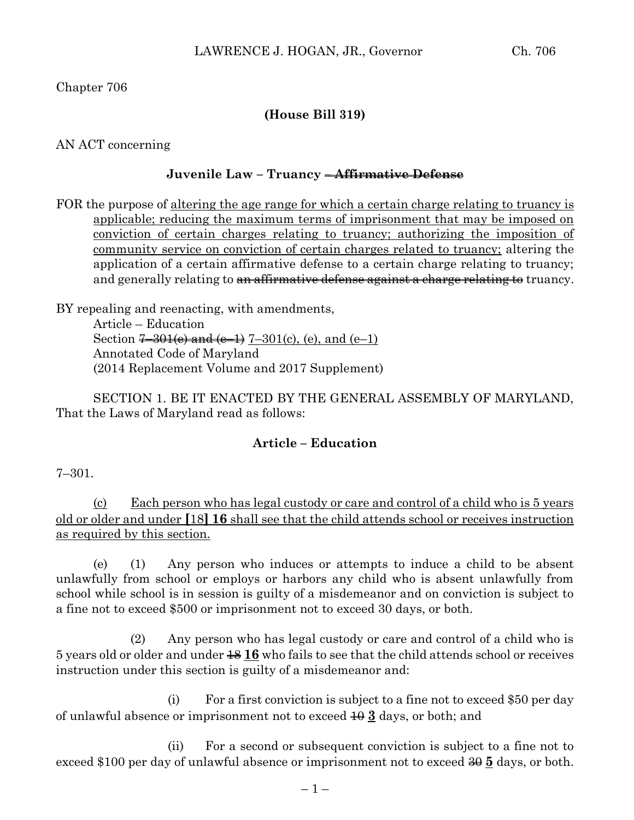Chapter 706

# **(House Bill 319)**

AN ACT concerning

### **Juvenile Law – Truancy – Affirmative Defense**

FOR the purpose of altering the age range for which a certain charge relating to truancy is applicable; reducing the maximum terms of imprisonment that may be imposed on conviction of certain charges relating to truancy; authorizing the imposition of community service on conviction of certain charges related to truancy; altering the application of a certain affirmative defense to a certain charge relating to truancy; and generally relating to an affirmative defense against a charge relating to truancy.

BY repealing and reenacting, with amendments, Article – Education Section  $7-301(e)$  and  $(e-1)$   $7-301(e)$ ,  $(e)$ , and  $(e-1)$ Annotated Code of Maryland (2014 Replacement Volume and 2017 Supplement)

SECTION 1. BE IT ENACTED BY THE GENERAL ASSEMBLY OF MARYLAND, That the Laws of Maryland read as follows:

### **Article – Education**

7–301.

(c) Each person who has legal custody or care and control of a child who is 5 years old or older and under **[**18**] 16** shall see that the child attends school or receives instruction as required by this section.

(e) (1) Any person who induces or attempts to induce a child to be absent unlawfully from school or employs or harbors any child who is absent unlawfully from school while school is in session is guilty of a misdemeanor and on conviction is subject to a fine not to exceed \$500 or imprisonment not to exceed 30 days, or both.

(2) Any person who has legal custody or care and control of a child who is 5 years old or older and under 18 **16** who fails to see that the child attends school or receives instruction under this section is guilty of a misdemeanor and:

(i) For a first conviction is subject to a fine not to exceed \$50 per day of unlawful absence or imprisonment not to exceed  $\overline{40}$  **3** days, or both; and

(ii) For a second or subsequent conviction is subject to a fine not to exceed \$100 per day of unlawful absence or imprisonment not to exceed 30 **5** days, or both.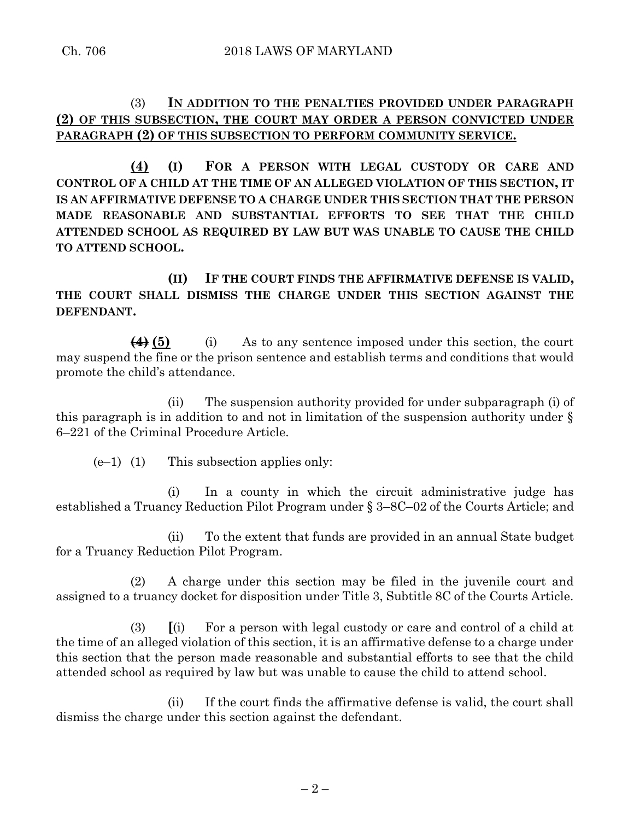# (3) **IN ADDITION TO THE PENALTIES PROVIDED UNDER PARAGRAPH (2) OF THIS SUBSECTION, THE COURT MAY ORDER A PERSON CONVICTED UNDER PARAGRAPH (2) OF THIS SUBSECTION TO PERFORM COMMUNITY SERVICE.**

**(4) (I) FOR A PERSON WITH LEGAL CUSTODY OR CARE AND CONTROL OF A CHILD AT THE TIME OF AN ALLEGED VIOLATION OF THIS SECTION, IT IS AN AFFIRMATIVE DEFENSE TO A CHARGE UNDER THIS SECTION THAT THE PERSON MADE REASONABLE AND SUBSTANTIAL EFFORTS TO SEE THAT THE CHILD ATTENDED SCHOOL AS REQUIRED BY LAW BUT WAS UNABLE TO CAUSE THE CHILD TO ATTEND SCHOOL.**

**(II) IF THE COURT FINDS THE AFFIRMATIVE DEFENSE IS VALID, THE COURT SHALL DISMISS THE CHARGE UNDER THIS SECTION AGAINST THE DEFENDANT.**

**(4) (5)** (i) As to any sentence imposed under this section, the court may suspend the fine or the prison sentence and establish terms and conditions that would promote the child's attendance.

(ii) The suspension authority provided for under subparagraph (i) of this paragraph is in addition to and not in limitation of the suspension authority under § 6–221 of the Criminal Procedure Article.

 $(e-1)$  (1) This subsection applies only:

(i) In a county in which the circuit administrative judge has established a Truancy Reduction Pilot Program under § 3–8C–02 of the Courts Article; and

(ii) To the extent that funds are provided in an annual State budget for a Truancy Reduction Pilot Program.

(2) A charge under this section may be filed in the juvenile court and assigned to a truancy docket for disposition under Title 3, Subtitle 8C of the Courts Article.

(3) **[**(i) For a person with legal custody or care and control of a child at the time of an alleged violation of this section, it is an affirmative defense to a charge under this section that the person made reasonable and substantial efforts to see that the child attended school as required by law but was unable to cause the child to attend school.

(ii) If the court finds the affirmative defense is valid, the court shall dismiss the charge under this section against the defendant.